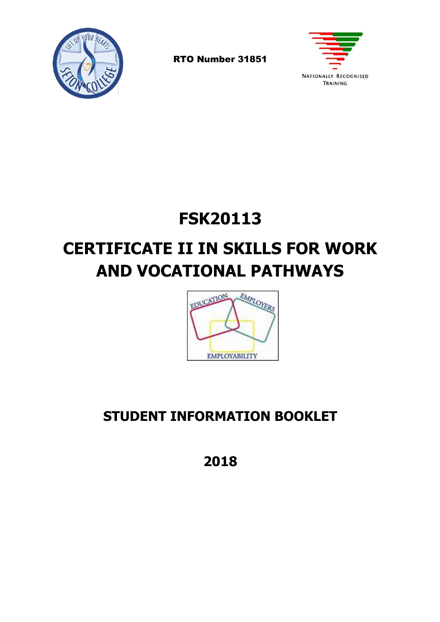

RTO Number 31851



## **FSK20113**

# **CERTIFICATE II IN SKILLS FOR WORK AND VOCATIONAL PATHWAYS**



## **STUDENT INFORMATION BOOKLET**

**2018**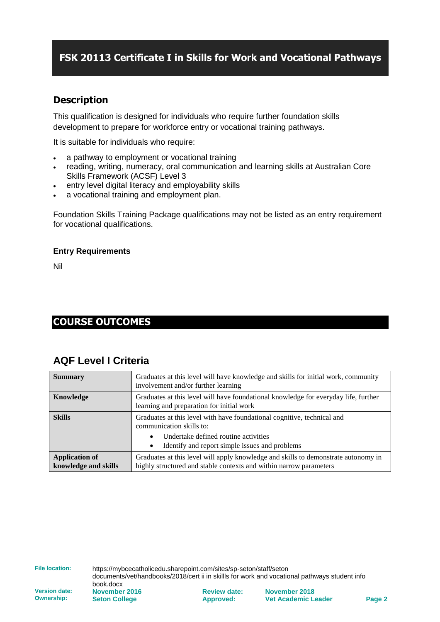### **FSK 20113 Certificate I in Skills for Work and Vocational Pathways**

### **Description**

This qualification is designed for individuals who require further foundation skills development to prepare for workforce entry or vocational training pathways.

It is suitable for individuals who require:

- a pathway to employment or vocational training
- reading, writing, numeracy, oral communication and learning skills at Australian Core Skills Framework (ACSF) Level 3
- entry level digital literacy and employability skills
- a vocational training and employment plan.

Foundation Skills Training Package qualifications may not be listed as an entry requirement for vocational qualifications.

#### **Entry Requirements**

Nil

### **COURSE OUTCOMES**

### **AQF Level I Criteria**

| <b>Summary</b>                                | Graduates at this level will have knowledge and skills for initial work, community<br>involvement and/or further learning                                |  |
|-----------------------------------------------|----------------------------------------------------------------------------------------------------------------------------------------------------------|--|
| Knowledge                                     | Graduates at this level will have foundational knowledge for everyday life, further<br>learning and preparation for initial work                         |  |
| <b>Skills</b>                                 | Graduates at this level with have foundational cognitive, technical and<br>communication skills to:                                                      |  |
|                                               | Undertake defined routine activities<br>Identify and report simple issues and problems<br>٠                                                              |  |
| <b>Application of</b><br>knowledge and skills | Graduates at this level will apply knowledge and skills to demonstrate autonomy in<br>highly structured and stable contexts and within narrow parameters |  |

**File location:** https://mybcecatholicedu.sharepoint.com/sites/sp-seton/staff/seton documents/vet/handbooks/2018/cert ii in skillls for work and vocational pathways student info

**Version date: Ownership:**

book.docx **November 2016 Seton College**

**Review date: Approved:**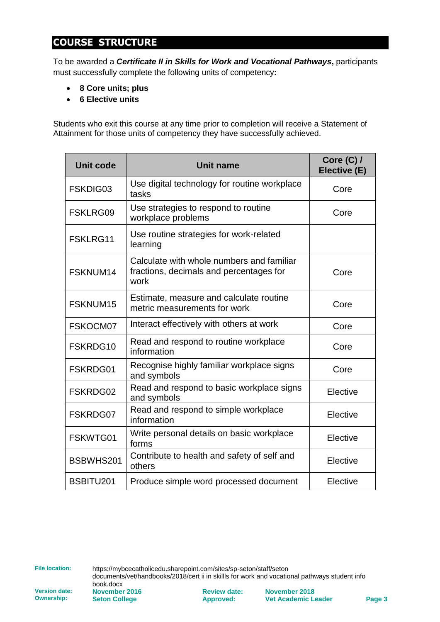### **COURSE STRUCTURE**

To be awarded a *Certificate II in Skills for Work and Vocational Pathways***,** participants must successfully complete the following units of competency**:**

- **8 Core units; plus**
- **6 Elective units**

Students who exit this course at any time prior to completion will receive a Statement of Attainment for those units of competency they have successfully achieved.

| <b>Unit code</b> | Unit name                                                                                    | Core $(C)$ /<br>Elective (E) |
|------------------|----------------------------------------------------------------------------------------------|------------------------------|
| FSKDIG03         | Use digital technology for routine workplace<br>tasks                                        | Core                         |
| FSKLRG09         | Use strategies to respond to routine<br>workplace problems                                   | Core                         |
| FSKLRG11         | Use routine strategies for work-related<br>learning                                          |                              |
| FSKNUM14         | Calculate with whole numbers and familiar<br>fractions, decimals and percentages for<br>work | Core                         |
| FSKNUM15         | Estimate, measure and calculate routine<br>metric measurements for work                      | Core                         |
| FSKOCM07         | Interact effectively with others at work                                                     | Core                         |
| FSKRDG10         | Read and respond to routine workplace<br>information                                         | Core                         |
| FSKRDG01         | Recognise highly familiar workplace signs<br>and symbols                                     | Core                         |
| FSKRDG02         | Read and respond to basic workplace signs<br>and symbols                                     | Elective                     |
| FSKRDG07         | Read and respond to simple workplace<br>information                                          | Elective                     |
| FSKWTG01         | Write personal details on basic workplace<br>forms                                           | Elective                     |
| BSBWHS201        | Contribute to health and safety of self and<br>others                                        | Elective                     |
| BSBITU201        | Produce simple word processed document                                                       | Elective                     |

**File location:** https://mybcecatholicedu.sharepoint.com/sites/sp-seton/staff/seton documents/vet/handbooks/2018/cert ii in skillls for work and vocational pathways student info

book.docx **November 2016 Seton College**

**Review date: Approved:**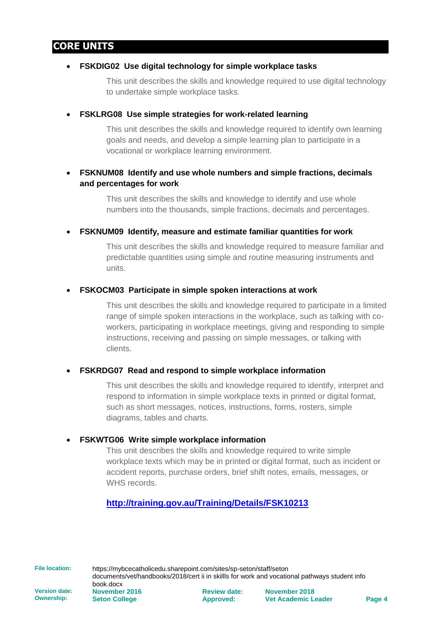### **CORE UNITS**

#### • **FSKDIG02 Use digital technology for simple workplace tasks**

This unit describes the skills and knowledge required to use digital technology to undertake simple workplace tasks.

#### • **FSKLRG08 Use simple strategies for work-related learning**

This unit describes the skills and knowledge required to identify own learning goals and needs, and develop a simple learning plan to participate in a vocational or workplace learning environment.

### • **FSKNUM08 Identify and use whole numbers and simple fractions, decimals and percentages for work**

This unit describes the skills and knowledge to identify and use whole numbers into the thousands, simple fractions, decimals and percentages.

• **FSKNUM09 Identify, measure and estimate familiar quantities for work**

This unit describes the skills and knowledge required to measure familiar and predictable quantities using simple and routine measuring instruments and units.

#### • **FSKOCM03 Participate in simple spoken interactions at work**

This unit describes the skills and knowledge required to participate in a limited range of simple spoken interactions in the workplace, such as talking with coworkers, participating in workplace meetings, giving and responding to simple instructions, receiving and passing on simple messages, or talking with clients.

#### • **FSKRDG07 Read and respond to simple workplace information**

This unit describes the skills and knowledge required to identify, interpret and respond to information in simple workplace texts in printed or digital format, such as short messages, notices, instructions, forms, rosters, simple diagrams, tables and charts.

#### • **FSKWTG06 Write simple workplace information**

This unit describes the skills and knowledge required to write simple workplace texts which may be in printed or digital format, such as incident or accident reports, purchase orders, brief shift notes, emails, messages, or WHS records.

### **<http://training.gov.au/Training/Details/FSK10213>**

**File location:** https://mybcecatholicedu.sharepoint.com/sites/sp-seton/staff/seton documents/vet/handbooks/2018/cert ii in skillls for work and vocational pathways student info

**Version date: Ownership:**

book.docx **November 2016 Seton College**

**Review date: Approved:**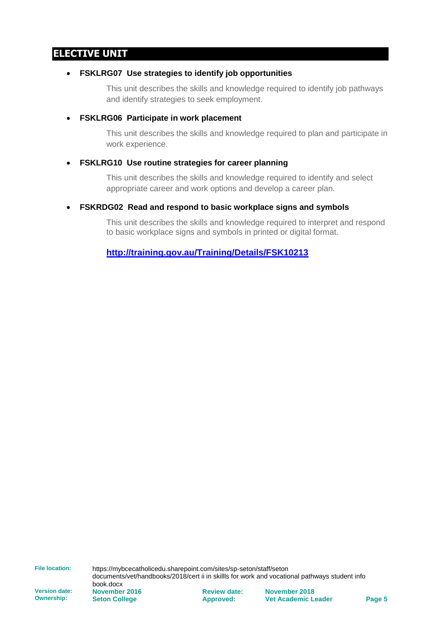### **ELECTIVE UNIT**

#### • **FSKLRG07 Use strategies to identify job opportunities**

This unit describes the skills and knowledge required to identify job pathways and identify strategies to seek employment.

#### • **FSKLRG06 Participate in work placement**

This unit describes the skills and knowledge required to plan and participate in work experience.

#### • **FSKLRG10 Use routine strategies for career planning**

This unit describes the skills and knowledge required to identify and select appropriate career and work options and develop a career plan.

#### • **FSKRDG02 Read and respond to basic workplace signs and symbols**

This unit describes the skills and knowledge required to interpret and respond to basic workplace signs and symbols in printed or digital format.

**<http://training.gov.au/Training/Details/FSK10213>**

**File location:** https://mybcecatholicedu.sharepoint.com/sites/sp-seton/staff/seton documents/vet/handbooks/2018/cert ii in skillls for work and vocational pathways student info

**Version date: Ownership:**

book.docx **November 2016 Seton College**

**Review date: Approved:**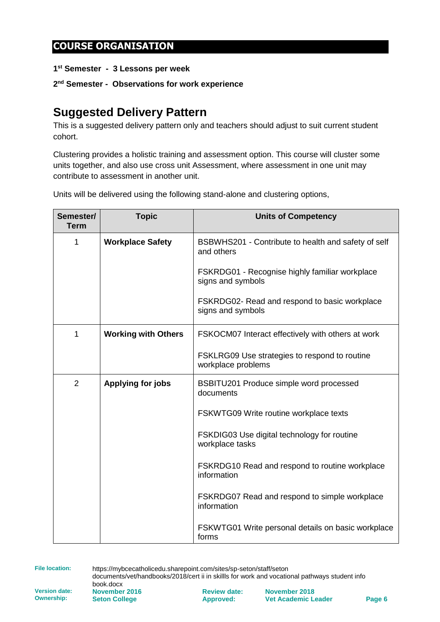### **COURSE ORGANISATION**

**1 st Semester - 3 Lessons per week**

**2 nd Semester - Observations for work experience**

## **Suggested Delivery Pattern**

This is a suggested delivery pattern only and teachers should adjust to suit current student cohort.

Clustering provides a holistic training and assessment option. This course will cluster some units together, and also use cross unit Assessment, where assessment in one unit may contribute to assessment in another unit.

Units will be delivered using the following stand-alone and clustering options,

| Semester/<br><b>Term</b> | <b>Topic</b>               | <b>Units of Competency</b>                                          |
|--------------------------|----------------------------|---------------------------------------------------------------------|
| 1                        | <b>Workplace Safety</b>    | BSBWHS201 - Contribute to health and safety of self<br>and others   |
|                          |                            | FSKRDG01 - Recognise highly familiar workplace<br>signs and symbols |
|                          |                            | FSKRDG02- Read and respond to basic workplace<br>signs and symbols  |
| 1                        | <b>Working with Others</b> | FSKOCM07 Interact effectively with others at work                   |
|                          |                            | FSKLRG09 Use strategies to respond to routine<br>workplace problems |
| $\overline{2}$           | Applying for jobs          | BSBITU201 Produce simple word processed<br>documents                |
|                          |                            | FSKWTG09 Write routine workplace texts                              |
|                          |                            | FSKDIG03 Use digital technology for routine<br>workplace tasks      |
|                          |                            | FSKRDG10 Read and respond to routine workplace<br>information       |
|                          |                            | FSKRDG07 Read and respond to simple workplace<br>information        |
|                          |                            | FSKWTG01 Write personal details on basic workplace<br>forms         |

**File location:** https://mybcecatholicedu.sharepoint.com/sites/sp-seton/staff/seton documents/vet/handbooks/2018/cert ii in skillls for work and vocational pathways student info

**Version date: Ownership:**

book.docx **November 2016 Seton College**

**Review date: Approved:**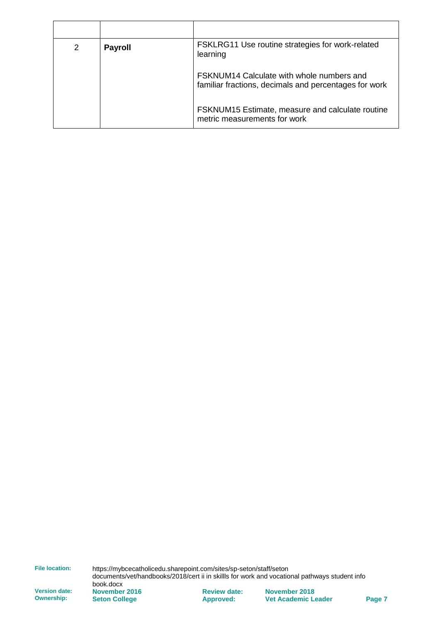| 2 | <b>Payroll</b> | FSKLRG11 Use routine strategies for work-related<br>learning                                              |
|---|----------------|-----------------------------------------------------------------------------------------------------------|
|   |                | <b>FSKNUM14 Calculate with whole numbers and</b><br>familiar fractions, decimals and percentages for work |
|   |                | FSKNUM15 Estimate, measure and calculate routine<br>metric measurements for work                          |

**File location:** https://mybcecatholicedu.sharepoint.com/sites/sp-seton/staff/seton documents/vet/handbooks/2018/cert ii in skillls for work and vocational pathways student info

**Version date: Ownership:**

book.docx **November 2016 Seton College**

**Review date: Approved:**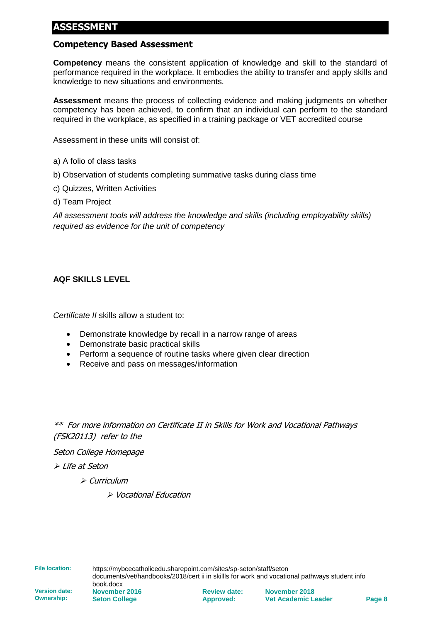### **ASSESSMENT**

### **Competency Based Assessment**

**Competency** means the consistent application of knowledge and skill to the standard of performance required in the workplace. It embodies the ability to transfer and apply skills and knowledge to new situations and environments.

**Assessment** means the process of collecting evidence and making judgments on whether competency has been achieved, to confirm that an individual can perform to the standard required in the workplace, as specified in a training package or VET accredited course

Assessment in these units will consist of:

- a) A folio of class tasks
- b) Observation of students completing summative tasks during class time
- c) Quizzes, Written Activities
- d) Team Project

*All assessment tools will address the knowledge and skills (including employability skills) required as evidence for the unit of competency*

#### **AQF SKILLS LEVEL**

*Certificate II* skills allow a student to:

- Demonstrate knowledge by recall in a narrow range of areas
- Demonstrate basic practical skills
- Perform a sequence of routine tasks where given clear direction
- Receive and pass on messages/information

\*\* For more information on Certificate II in Skills for Work and Vocational Pathways (FSK20113) refer to the

Seton College Homepage

➢ Life at Seton

➢ Curriculum

➢ Vocational Education

**File location:** https://mybcecatholicedu.sharepoint.com/sites/sp-seton/staff/seton documents/vet/handbooks/2018/cert ii in skillls for work and vocational pathways student info

book.docx **November 2016 Seton College**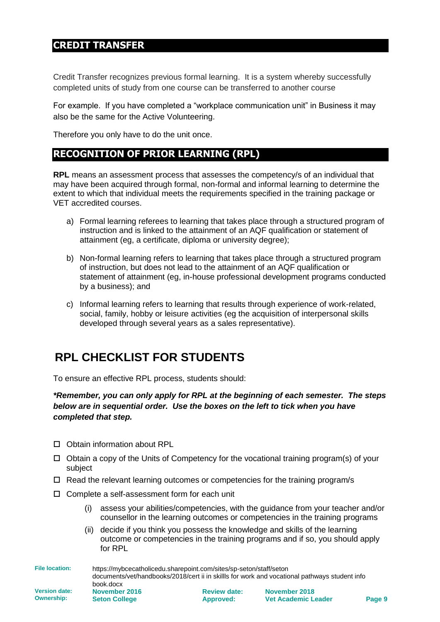### **CREDIT TRANSFER**

Credit Transfer recognizes previous formal learning. It is a system whereby successfully completed units of study from one course can be transferred to another course

For example. If you have completed a "workplace communication unit" in Business it may also be the same for the Active Volunteering.

Therefore you only have to do the unit once.

### **RECOGNITION OF PRIOR LEARNING (RPL)**

**RPL** means an assessment process that assesses the competency/s of an individual that may have been acquired through formal, non-formal and informal learning to determine the extent to which that individual meets the requirements specified in the training package or VET accredited courses.

- a) Formal learning referees to learning that takes place through a structured program of instruction and is linked to the attainment of an AQF qualification or statement of attainment (eg, a certificate, diploma or university degree);
- b) Non-formal learning refers to learning that takes place through a structured program of instruction, but does not lead to the attainment of an AQF qualification or statement of attainment (eg, in-house professional development programs conducted by a business); and
- c) Informal learning refers to learning that results through experience of work-related, social, family, hobby or leisure activities (eg the acquisition of interpersonal skills developed through several years as a sales representative).

## **RPL CHECKLIST FOR STUDENTS**

To ensure an effective RPL process, students should:

*\*Remember, you can only apply for RPL at the beginning of each semester. The steps below are in sequential order. Use the boxes on the left to tick when you have completed that step.*

- Obtain information about RPL
- $\Box$  Obtain a copy of the Units of Competency for the vocational training program(s) of your subject
- $\Box$  Read the relevant learning outcomes or competencies for the training program/s
- $\square$  Complete a self-assessment form for each unit
	- (i) assess your abilities/competencies, with the guidance from your teacher and/or counsellor in the learning outcomes or competencies in the training programs
	- (ii) decide if you think you possess the knowledge and skills of the learning outcome or competencies in the training programs and if so, you should apply for RPL

**File location:** https://mybcecatholicedu.sharepoint.com/sites/sp-seton/staff/seton documents/vet/handbooks/2018/cert ii in skillls for work and vocational pathways student info book.docx